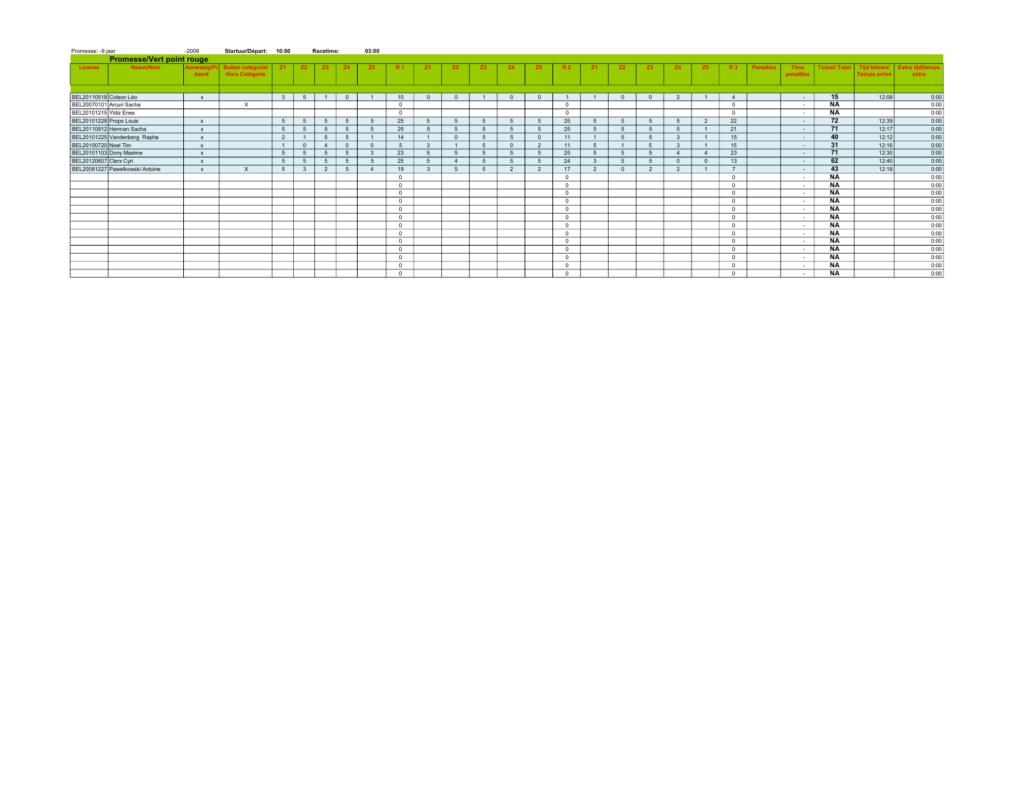| Promesse: -9 jaar                | $-2009$             | Startuur/Départ: 10:00                     |              |              | Racetime:      |                | 03:00        |                 |                |           |           |                |                |            |              |            |                |                |                |               |                  |                   |                    |                                     |                                  |
|----------------------------------|---------------------|--------------------------------------------|--------------|--------------|----------------|----------------|--------------|-----------------|----------------|-----------|-----------|----------------|----------------|------------|--------------|------------|----------------|----------------|----------------|---------------|------------------|-------------------|--------------------|-------------------------------------|----------------------------------|
| <b>Promesse/Vert point rouge</b> |                     |                                            |              |              |                |                |              |                 |                |           |           |                |                |            |              |            |                |                |                |               |                  |                   |                    |                                     |                                  |
| Naam/Nom<br>License              | Aanwezig/P<br>ésent | <b>Buiten categorie/</b><br>Hors Catégorie | <b>Z1</b>    | <b>Z2</b>    | Z3             | <b>Z4</b>      | <b>Z5</b>    | R <sub>1</sub>  | <b>Z1</b>      | <b>Z2</b> | <b>Z3</b> | <b>Z4</b>      | <b>Z5</b>      | <b>R2</b>  | <b>Z1</b>    | <b>Z2</b>  | Z3             | Z4             | Z <sub>5</sub> | <b>R3</b>     | <b>Penalties</b> | Time<br>penalties | <b>Totaal/Tota</b> | Tijd binnen/<br><b>Temps arrivé</b> | <b>Extra tijd/temps</b><br>extra |
|                                  |                     |                                            |              |              |                |                |              |                 |                |           |           |                |                |            |              |            |                |                |                |               |                  |                   |                    |                                     |                                  |
| BEL20110518 Colson Léo           | $\mathbf{x}$        |                                            | $\mathbf{3}$ | 5            |                | $\mathbf{0}$   |              | 10 <sup>1</sup> | $\Omega$       | $\Omega$  |           | $\overline{0}$ | $\Omega$       |            |              | $\Omega$   | $\Omega$       | $\overline{2}$ |                |               |                  | $\sim$            | 15                 | 12:08                               | 0:00                             |
| BEL20070101 Arcuri Sacha         |                     | $\times$                                   |              |              |                |                |              | $\mathbf{0}$    |                |           |           |                |                | $\circ$    |              |            |                |                |                | $\Omega$      |                  | $\sim$            | NA                 |                                     | 0:00                             |
| BEL20101215 Yldiz Enes           |                     |                                            |              |              |                |                |              | $\Omega$        |                |           |           |                |                | $\Omega$   |              |            |                |                |                | $\Omega$      |                  | $\sim$            | <b>NA</b>          |                                     | 0:00                             |
| BEL20101228 Props Louis          | $\mathbf{x}$        |                                            | $\sqrt{5}$   | $\sqrt{2}$   | 5              | 5 <sup>5</sup> |              | 25              | $5 -$          | 5         |           | 5              | -5             | 25         | $\sqrt{5}$   | $\sqrt{2}$ | $\sqrt{5}$     |                | $\overline{2}$ | 22            |                  | $\sim$            | 72                 | 12:39                               | 0:00                             |
| BEL20110912 Herman Sacha         | $\mathbf{x}$        |                                            | 5            | $\sqrt{5}$   | 5              | 5 <sup>5</sup> |              | 25              | $5 -$          | 5         |           | 5              | -5             | 25         | $\sqrt{5}$   | 5          | $\sqrt{5}$     |                |                | 21            |                  | $\sim$            | 71                 | 12:17                               | 0:00                             |
| BEL20101225 Vandenberg Rapha     | $\mathbf{x}$        |                                            | 2            |              | 5              | 5 <sup>5</sup> |              | 14              |                | $\Omega$  |           | 5              | $\overline{0}$ | 11         |              | 5          | $\sqrt{5}$     | $\mathbf{R}$   |                | 15            |                  | $\sim$            | 40                 | 12:12                               | 0:00                             |
| BEL20100720 Noel Tim             | $\mathbf{x}$        |                                            |              | $\Omega$     | $\overline{4}$ | $\Omega$       | $\Omega$     |                 | $\mathbf{3}$   |           |           | $\Omega$       | $\overline{2}$ | 11         | $\sqrt{5}$   |            | $\sqrt{5}$     | $\mathbf{R}$   |                | 15            |                  | $\sim$            | 31                 | 12:16                               | 0:00                             |
| BEL20101103 Dony Maxime          | $\mathbf{x}$        |                                            | 5            | $\sqrt{5}$   | 5              | 5 <sup>5</sup> | $\mathbf{R}$ | 23              | 5 <sup>5</sup> | 5         |           | 5              |                | 25         | $\sqrt{5}$   |            | 5              |                |                | 23            |                  | $\sim$            | 71                 | 12:30                               | 0:00                             |
| BEL20120607 Clerx Cyri           | $\mathbf{x}$        |                                            | $\sqrt{5}$   | $\sqrt{5}$   | 5              | 5 <sup>5</sup> |              | 25              | 5 <sup>5</sup> |           |           | 5              |                | 24         | $\mathbf{3}$ |            | 5              | $\Omega$       |                | 13            |                  | $\sim$            | 62                 | 12:40                               | 0:00                             |
| BEL20081227 Pawelkowski Antoine  | $\mathbf{x}$        | $\times$                                   |              | $\mathbf{3}$ | 2              | 5 <sup>5</sup> |              | 19              | $\mathbf{3}$   | 5         |           | 2              | $\overline{2}$ | 17         | 2            | $\sqrt{2}$ | $\overline{2}$ | $\sim$         |                | $\rightarrow$ |                  | $\sim$            | 43                 | 12:18                               | 0:00                             |
|                                  |                     |                                            |              |              |                |                |              | $\Omega$        |                |           |           |                |                | $\Omega$   |              |            |                |                |                | $\Omega$      |                  | $\sim$            | <b>NA</b>          |                                     | 0:00                             |
|                                  |                     |                                            |              |              |                |                |              | $\Omega$        |                |           |           |                |                | $\Omega$   |              |            |                |                |                | $\Omega$      |                  | $\sim$            | $\overline{NA}$    |                                     | 0:00                             |
|                                  |                     |                                            |              |              |                |                |              | $\Omega$        |                |           |           |                |                | $\circ$    |              |            |                |                |                | $\Omega$      |                  | $\sim$            | <b>NA</b>          |                                     | 0:00                             |
|                                  |                     |                                            |              |              |                |                |              | $\mathbf{0}$    |                |           |           |                |                | $\circ$    |              |            |                |                |                | $^{\circ}$    |                  | $\sim$            | <b>NA</b>          |                                     | 0:00                             |
|                                  |                     |                                            |              |              |                |                |              | $\mathbf{0}$    |                |           |           |                |                | $^{\circ}$ |              |            |                |                |                | $\Omega$      |                  | $\sim$            | <b>NA</b>          |                                     | 0:00                             |
|                                  |                     |                                            |              |              |                |                |              | $^{\circ}$      |                |           |           |                |                | $^{\circ}$ |              |            |                |                |                | $\circ$       |                  | $\sim$            | <b>NA</b>          |                                     | 0:00                             |
|                                  |                     |                                            |              |              |                |                |              | $\Omega$        |                |           |           |                |                | $\Omega$   |              |            |                |                |                | $\Omega$      |                  | $\sim$            | NA                 |                                     | 0:00                             |
|                                  |                     |                                            |              |              |                |                |              | $\Omega$        |                |           |           |                |                | $\Omega$   |              |            |                |                |                | $\Omega$      |                  | $\sim$            | <b>NA</b>          |                                     | 0:00                             |
|                                  |                     |                                            |              |              |                |                |              | $\Omega$        |                |           |           |                |                | $\Omega$   |              |            |                |                |                | $\Omega$      |                  | $\sim$            | <b>NA</b>          |                                     | 0:00                             |
|                                  |                     |                                            |              |              |                |                |              | $\Omega$        |                |           |           |                |                | $\Omega$   |              |            |                |                |                | $\Omega$      |                  | $\sim$            | NA                 |                                     | 0:00                             |
|                                  |                     |                                            |              |              |                |                |              | $\Omega$        |                |           |           |                |                | $\Omega$   |              |            |                |                |                | $\Omega$      |                  | $\sim$            | <b>NA</b>          |                                     | 0:00                             |
|                                  |                     |                                            |              |              |                |                |              | $\Omega$        |                |           |           |                |                | $\Omega$   |              |            |                |                |                | $\Omega$      |                  | $\sim$            | <b>NA</b>          |                                     | 0:00                             |
|                                  |                     |                                            |              |              |                |                |              | $\Omega$        |                |           |           |                |                | $\Omega$   |              |            |                |                |                | $\Omega$      |                  | $\sim$            | <b>NA</b>          |                                     | 0:00                             |